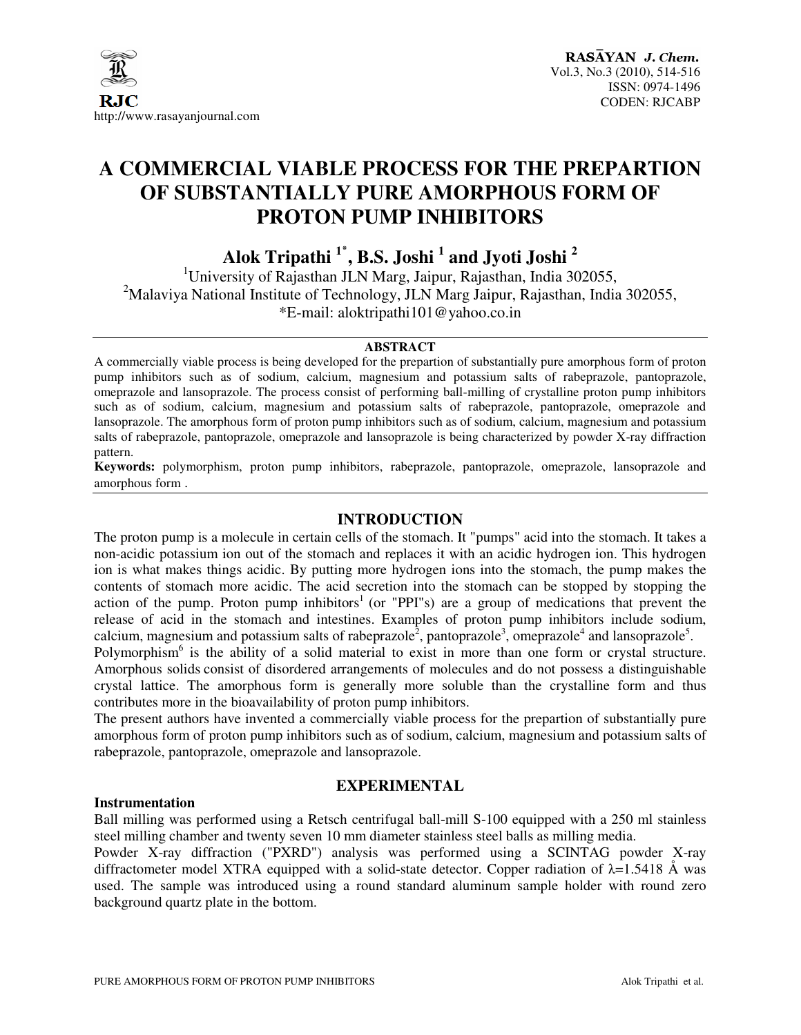

# **A COMMERCIAL VIABLE PROCESS FOR THE PREPARTION OF SUBSTANTIALLY PURE AMORPHOUS FORM OF PROTON PUMP INHIBITORS**

**Alok Tripathi <sup>1</sup>**٭ **, B.S. Joshi <sup>1</sup> and Jyoti Joshi <sup>2</sup>**

<sup>1</sup>University of Rajasthan JLN Marg, Jaipur, Rajasthan, India 302055, <sup>2</sup>Malaviya National Institute of Technology, JLN Marg Jaipur, Rajasthan, India 302055, \*E-mail: aloktripathi101@yahoo.co.in

#### **ABSTRACT**

A commercially viable process is being developed for the prepartion of substantially pure amorphous form of proton pump inhibitors such as of sodium, calcium, magnesium and potassium salts of rabeprazole, pantoprazole, omeprazole and lansoprazole. The process consist of performing ball-milling of crystalline proton pump inhibitors such as of sodium, calcium, magnesium and potassium salts of rabeprazole, pantoprazole, omeprazole and lansoprazole. The amorphous form of proton pump inhibitors such as of sodium, calcium, magnesium and potassium salts of rabeprazole, pantoprazole, omeprazole and lansoprazole is being characterized by powder X-ray diffraction pattern.

**Keywords:** polymorphism, proton pump inhibitors, rabeprazole, pantoprazole, omeprazole, lansoprazole and amorphous form .

## **INTRODUCTION**

The proton pump is a molecule in certain cells of the stomach. It "pumps" acid into the stomach. It takes a non-acidic potassium ion out of the stomach and replaces it with an acidic hydrogen ion. This hydrogen ion is what makes things acidic. By putting more hydrogen ions into the stomach, the pump makes the contents of stomach more acidic. The acid secretion into the stomach can be stopped by stopping the action of the pump. Proton pump inhibitors<sup>1</sup> (or "PPI"s) are a group of medications that prevent the release of acid in the stomach and intestines. Examples of proton pump inhibitors include sodium, calcium, magnesium and potassium salts of rabeprazole<sup>2</sup>, pantoprazole<sup>3</sup>, omeprazole<sup>4</sup> and lansoprazole<sup>5</sup>.

Polymorphism<sup>6</sup> is the ability of a solid material to exist in more than one form or crystal structure. Amorphous solids consist of disordered arrangements of molecules and do not possess a distinguishable crystal lattice. The amorphous form is generally more soluble than the crystalline form and thus contributes more in the bioavailability of proton pump inhibitors.

The present authors have invented a commercially viable process for the prepartion of substantially pure amorphous form of proton pump inhibitors such as of sodium, calcium, magnesium and potassium salts of rabeprazole, pantoprazole, omeprazole and lansoprazole.

#### **Instrumentation**

## **EXPERIMENTAL**

Ball milling was performed using a Retsch centrifugal ball-mill S-100 equipped with a 250 ml stainless steel milling chamber and twenty seven 10 mm diameter stainless steel balls as milling media.

Powder X-ray diffraction ("PXRD") analysis was performed using a SCINTAG powder X-ray diffractometer model XTRA equipped with a solid-state detector. Copper radiation of  $\lambda$ =1.5418 Å was used. The sample was introduced using a round standard aluminum sample holder with round zero background quartz plate in the bottom.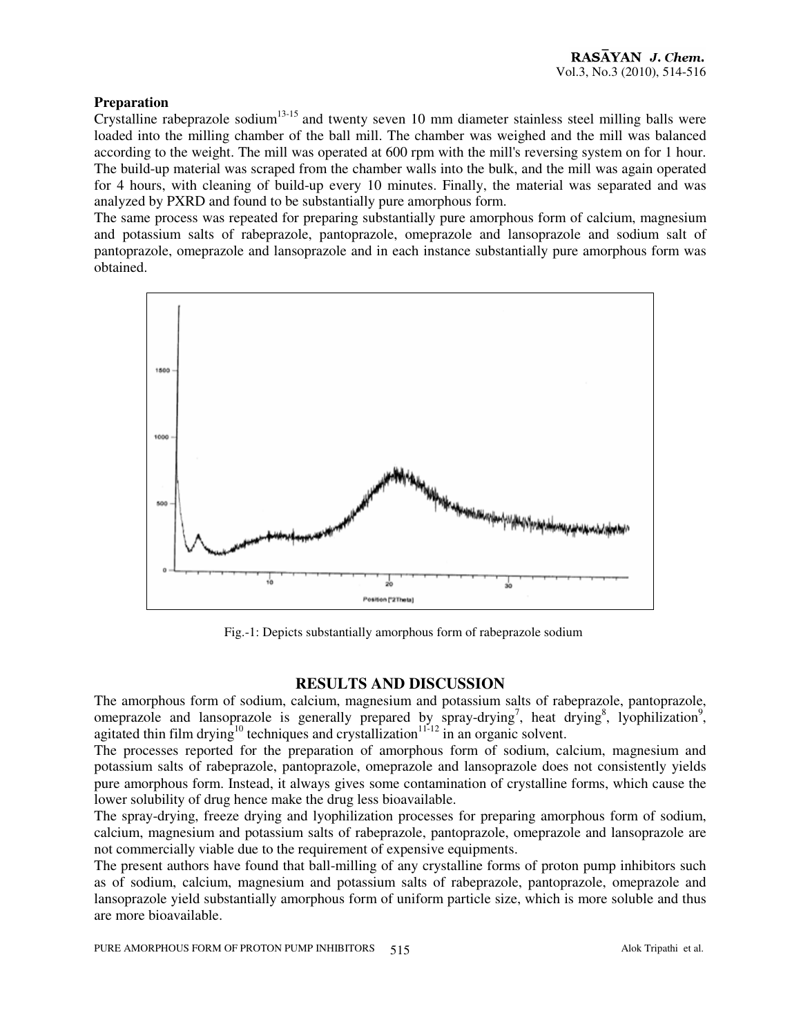## **Preparation**

Crystalline rabeprazole sodium13-15 and twenty seven 10 mm diameter stainless steel milling balls were loaded into the milling chamber of the ball mill. The chamber was weighed and the mill was balanced according to the weight. The mill was operated at 600 rpm with the mill's reversing system on for 1 hour. The build-up material was scraped from the chamber walls into the bulk, and the mill was again operated for 4 hours, with cleaning of build-up every 10 minutes. Finally, the material was separated and was analyzed by PXRD and found to be substantially pure amorphous form.

The same process was repeated for preparing substantially pure amorphous form of calcium, magnesium and potassium salts of rabeprazole, pantoprazole, omeprazole and lansoprazole and sodium salt of pantoprazole, omeprazole and lansoprazole and in each instance substantially pure amorphous form was obtained.



Fig.-1: Depicts substantially amorphous form of rabeprazole sodium

## **RESULTS AND DISCUSSION**

The amorphous form of sodium, calcium, magnesium and potassium salts of rabeprazole, pantoprazole, omeprazole and lansoprazole is generally prepared by  $\frac{1}{2}$  spray-drying<sup>7</sup>, heat drying<sup>8</sup>, lyophilization<sup>9</sup>, agitated thin film drying<sup>10</sup> techniques and crystallization<sup>11-12</sup> in an organic solvent.

The processes reported for the preparation of amorphous form of sodium, calcium, magnesium and potassium salts of rabeprazole, pantoprazole, omeprazole and lansoprazole does not consistently yields pure amorphous form. Instead, it always gives some contamination of crystalline forms, which cause the lower solubility of drug hence make the drug less bioavailable.

The spray-drying, freeze drying and lyophilization processes for preparing amorphous form of sodium, calcium, magnesium and potassium salts of rabeprazole, pantoprazole, omeprazole and lansoprazole are not commercially viable due to the requirement of expensive equipments.

The present authors have found that ball-milling of any crystalline forms of proton pump inhibitors such as of sodium, calcium, magnesium and potassium salts of rabeprazole, pantoprazole, omeprazole and lansoprazole yield substantially amorphous form of uniform particle size, which is more soluble and thus are more bioavailable.